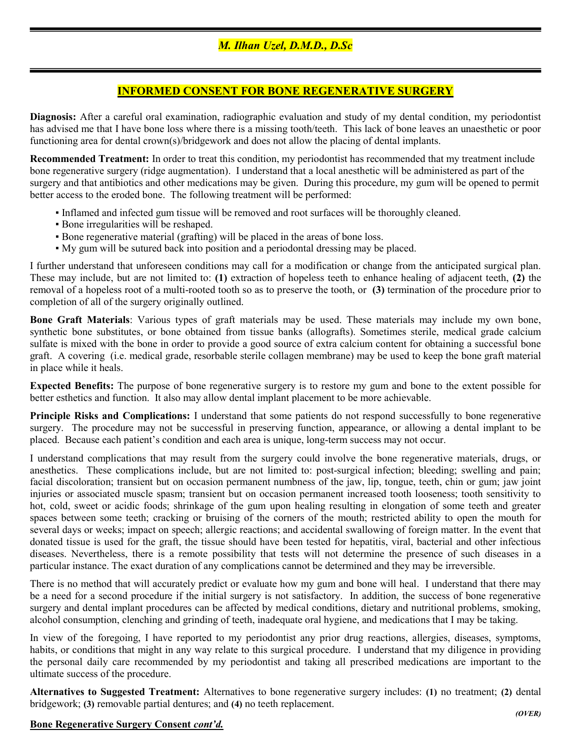## INFORMED CONSENT FOR BONE REGENERATIVE SURGERY

Diagnosis: After a careful oral examination, radiographic evaluation and study of my dental condition, my periodontist has advised me that I have bone loss where there is a missing tooth/teeth. This lack of bone leaves an unaesthetic or poor functioning area for dental crown(s)/bridgework and does not allow the placing of dental implants.

Recommended Treatment: In order to treat this condition, my periodontist has recommended that my treatment include bone regenerative surgery (ridge augmentation). I understand that a local anesthetic will be administered as part of the surgery and that antibiotics and other medications may be given. During this procedure, my gum will be opened to permit better access to the eroded bone. The following treatment will be performed:

- Inflamed and infected gum tissue will be removed and root surfaces will be thoroughly cleaned.
- Bone irregularities will be reshaped.
- Bone regenerative material (grafting) will be placed in the areas of bone loss.
- My gum will be sutured back into position and a periodontal dressing may be placed.

I further understand that unforeseen conditions may call for a modification or change from the anticipated surgical plan. These may include, but are not limited to: (1) extraction of hopeless teeth to enhance healing of adjacent teeth, (2) the removal of a hopeless root of a multi-rooted tooth so as to preserve the tooth, or (3) termination of the procedure prior to completion of all of the surgery originally outlined.

Bone Graft Materials: Various types of graft materials may be used. These materials may include my own bone, synthetic bone substitutes, or bone obtained from tissue banks (allografts). Sometimes sterile, medical grade calcium sulfate is mixed with the bone in order to provide a good source of extra calcium content for obtaining a successful bone graft. A covering (i.e. medical grade, resorbable sterile collagen membrane) may be used to keep the bone graft material in place while it heals.

Expected Benefits: The purpose of bone regenerative surgery is to restore my gum and bone to the extent possible for better esthetics and function. It also may allow dental implant placement to be more achievable.

Principle Risks and Complications: I understand that some patients do not respond successfully to bone regenerative surgery. The procedure may not be successful in preserving function, appearance, or allowing a dental implant to be placed. Because each patient's condition and each area is unique, long-term success may not occur.

I understand complications that may result from the surgery could involve the bone regenerative materials, drugs, or anesthetics. These complications include, but are not limited to: post-surgical infection; bleeding; swelling and pain; facial discoloration; transient but on occasion permanent numbness of the jaw, lip, tongue, teeth, chin or gum; jaw joint injuries or associated muscle spasm; transient but on occasion permanent increased tooth looseness; tooth sensitivity to hot, cold, sweet or acidic foods; shrinkage of the gum upon healing resulting in elongation of some teeth and greater spaces between some teeth; cracking or bruising of the corners of the mouth; restricted ability to open the mouth for several days or weeks; impact on speech; allergic reactions; and accidental swallowing of foreign matter. In the event that donated tissue is used for the graft, the tissue should have been tested for hepatitis, viral, bacterial and other infectious diseases. Nevertheless, there is a remote possibility that tests will not determine the presence of such diseases in a particular instance. The exact duration of any complications cannot be determined and they may be irreversible.

There is no method that will accurately predict or evaluate how my gum and bone will heal. I understand that there may be a need for a second procedure if the initial surgery is not satisfactory. In addition, the success of bone regenerative surgery and dental implant procedures can be affected by medical conditions, dietary and nutritional problems, smoking, alcohol consumption, clenching and grinding of teeth, inadequate oral hygiene, and medications that I may be taking.

In view of the foregoing, I have reported to my periodontist any prior drug reactions, allergies, diseases, symptoms, habits, or conditions that might in any way relate to this surgical procedure. I understand that my diligence in providing the personal daily care recommended by my periodontist and taking all prescribed medications are important to the ultimate success of the procedure.

Alternatives to Suggested Treatment: Alternatives to bone regenerative surgery includes: (1) no treatment; (2) dental bridgework; (3) removable partial dentures; and (4) no teeth replacement.

## Bone Regenerative Surgery Consent cont'd.